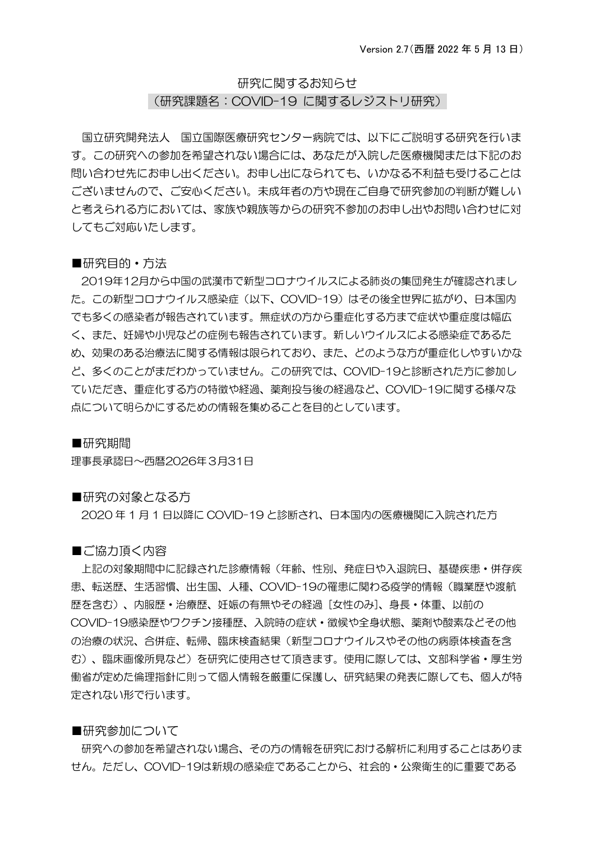# 研究に関するお知らせ

(研究課題名:COVID-19 に関するレジストリ研究)

国立研究開発法人 国立国際医療研究センター病院では、以下にご説明する研究を行いま す。この研究への参加を希望されない場合には、あなたが入院した医療機関または下記のお 問い合わせ先にお申し出ください。お申し出になられても、いかなる不利益も受けることは ございませんので、ご安心ください。未成年者の方や現在ご自身で研究参加の判断が難しい と考えられる方においては、家族や親族等からの研究不参加のお申し出やお問い合わせに対 してもご対応いたします。

## ■研究目的・方法

2019年12月から中国の武漢市で新型コロナウイルスによる肺炎の集団発生が確認されまし た。この新型コロナウイルス感染症(以下、COVID-19)はその後全世界に拡がり、日本国内 でも多くの感染者が報告されています。無症状の方から重症化する方まで症状や重症度は幅広 く、また、妊婦や小児などの症例も報告されています。新しいウイルスによる感染症であるた め、効果のある治療法に関する情報は限られており、また、どのような方が重症化しやすいかな ど、多くのことがまだわかっていません。この研究では、COVID-19と診断された方に参加し ていただき、重症化する方の特徴や経過、薬剤投与後の経過など、COVID-19に関する様々な 点について明らかにするための情報を集めることを目的としています。

## ■研究期間

理事長承認日~西暦2026年3月31日

## ■研究の対象となる方

2020 年 1 月 1 日以降に COVID-19 と診断され、日本国内の医療機関に入院された方

■ご協力頂く内容

上記の対象期間中に記録された診療情報(年齢、性別、発症日や入退院日、基礎疾患・併存疾 患、転送歴、生活習慣、出生国、人種、COVID-19の罹患に関わる疫学的情報(職業歴や渡航 歴を含む)、内服歴・治療歴、妊娠の有無やその経過 [女性のみ]、身長・体重、以前の COVID-19感染歴やワクチン接種歴、入院時の症状・徴候や全身状態、薬剤や酸素などその他 の治療の状況、合併症、転帰、臨床検査結果(新型コロナウイルスやその他の病原体検査を含 む)、臨床画像所見など)を研究に使用させて頂きます。使用に際しては、文部科学省・厚生労 働省が定めた倫理指針に則って個人情報を厳重に保護し、研究結果の発表に際しても、個人が特 定されない形で行います。

## ■研究参加について

研究への参加を希望されない場合、その方の情報を研究における解析に利用することはありま せん。ただし、COVID-19は新規の感染症であることから、社会的・公衆衛生的に重要である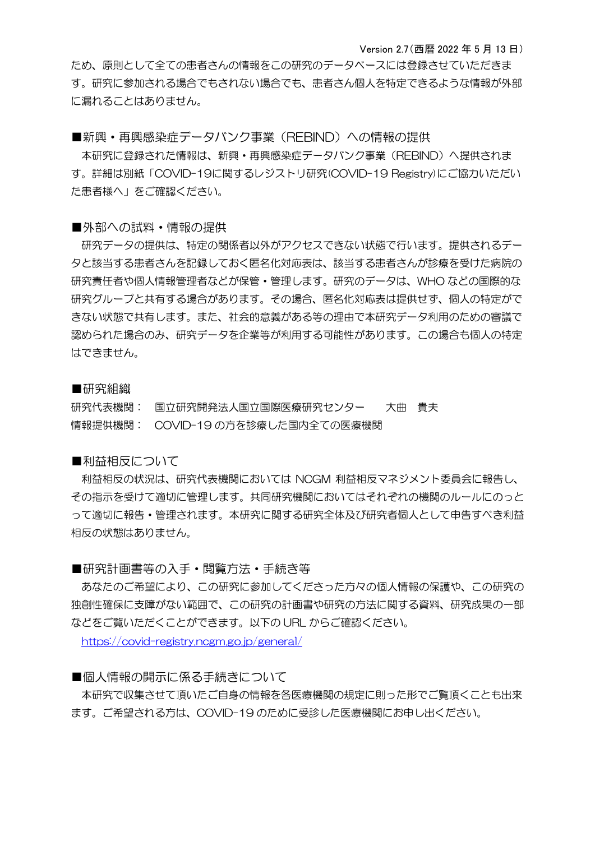Version 2.7(西暦 2022 年 5 月 13 日)

ため、原則として全ての患者さんの情報をこの研究のデータベースには登録させていただきま す。研究に参加される場合でもされない場合でも、患者さん個人を特定できるような情報が外部 に漏れることはありません。

■新興・再興感染症データバンク事業(REBIND)への情報の提供

本研究に登録された情報は、新興・再興感染症データバンク事業(REBIND)へ提供されま す。詳細は別紙「COVID-19に関するレジストリ研究(COVID-19 Registry)にご協力いただい た患者様へ」をご確認ください。

### ■外部への試料・情報の提供

研究データの提供は、特定の関係者以外がアクセスできない状態で行います。提供されるデー タと該当する患者さんを記録しておく匿名化対応表は、該当する患者さんが診療を受けた病院の 研究責任者や個人情報管理者などが保管・管理します。研究のデータは、WHO などの国際的な 研究グループと共有する場合があります。その場合、匿名化対応表は提供せず、個人の特定がで きない状態で共有します。また、社会的意義がある等の理由で本研究データ利用のための審議で 認められた場合のみ、研究データを企業等が利用する可能性があります。この場合も個人の特定 はできません。

# ■研究組織

研究代表機関: 国立研究開発法人国立国際医療研究センター 大曲 貴夫 情報提供機関: COVID-19 の方を診療した国内全ての医療機関

# ■利益相反について

利益相反の状況は、研究代表機関においては NCGM 利益相反マネジメント委員会に報告し、 その指示を受けて適切に管理します。共同研究機関においてはそれぞれの機関のルールにのっと って適切に報告・管理されます。本研究に関する研究全体及び研究者個人として申告すべき利益 相反の状態はありません。

# ■研究計画書等の入手・閲覧方法・手続き等

あなたのご希望により、この研究に参加してくださった方々の個人情報の保護や、この研究の 独創性確保に支障がない範囲で、この研究の計画書や研究の方法に関する資料、研究成果の一部 などをご覧いただくことができます。以下の URL からご確認ください。

<https://covid-registry.ncgm.go.jp/general/>

# ■個人情報の開示に係る手続きについて

本研究で収集させて頂いたご自身の情報を各医療機関の規定に則った形でご覧頂くことも出来 ます。ご希望される方は、COVID-19 のために受診した医療機関にお申し出ください。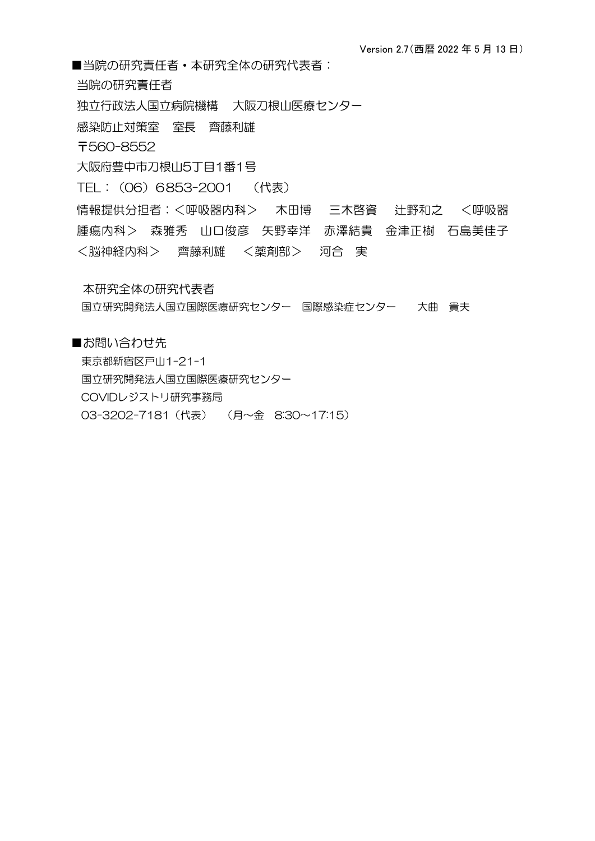■当院の研究青仟者 • 本研究全体の研究代表者:

当院の研究責任者

独立行政法人国立病院機構 大阪刀根山医療センター

感染防止対策室 室長 齊藤利雄

〒560-8552

大阪府豊中市刀根山5丁目1番1号

TEL:(06)6853-2001 (代表)

情報提供分担者:<呼吸器内科> 木田博 三木啓資 辻野和之 <呼吸器 腫瘍内科> 森雅秀 山口俊彦 矢野幸洋 赤澤結貴 金津正樹 石島美佳子 <脳神経内科> 齊藤利雄 <薬剤部> 河合 実

本研究全体の研究代表者

国立研究開発法人国立国際医療研究センター 国際感染症センター 大曲 貴夫

■お問い合わせ先 東京都新宿区戸山1-21-1 国立研究開発法人国立国際医療研究センター COVIDレジストリ研究事務局 03-3202-7181(代表) (月~金 8:30~17:15)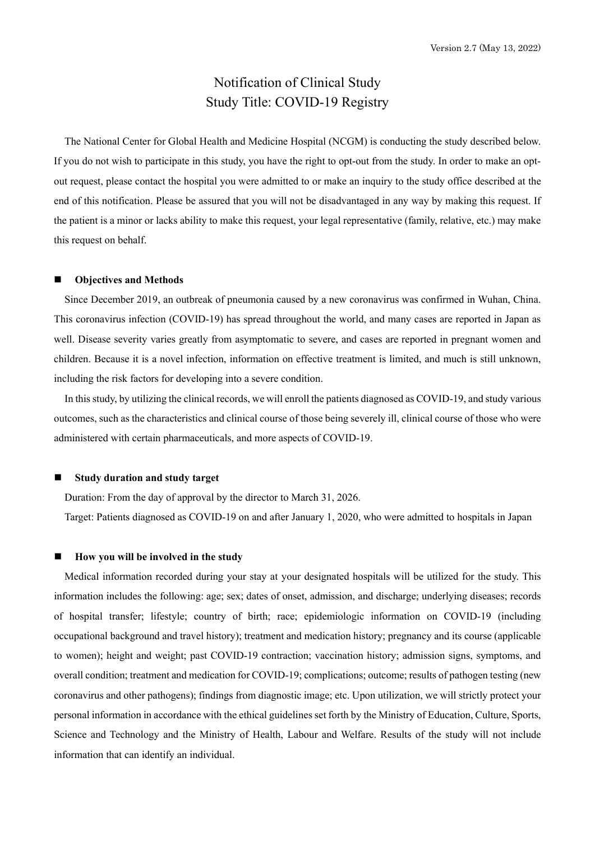# Notification of Clinical Study Study Title: COVID-19 Registry

The National Center for Global Health and Medicine Hospital (NCGM) is conducting the study described below. If you do not wish to participate in this study, you have the right to opt-out from the study. In order to make an optout request, please contact the hospital you were admitted to or make an inquiry to the study office described at the end of this notification. Please be assured that you will not be disadvantaged in any way by making this request. If the patient is a minor or lacks ability to make this request, your legal representative (family, relative, etc.) may make this request on behalf.

#### **Objectives and Methods**

Since December 2019, an outbreak of pneumonia caused by a new coronavirus was confirmed in Wuhan, China. This coronavirus infection (COVID-19) has spread throughout the world, and many cases are reported in Japan as well. Disease severity varies greatly from asymptomatic to severe, and cases are reported in pregnant women and children. Because it is a novel infection, information on effective treatment is limited, and much is still unknown, including the risk factors for developing into a severe condition.

In this study, by utilizing the clinical records, we will enroll the patients diagnosed as COVID-19, and study various outcomes, such as the characteristics and clinical course of those being severely ill, clinical course of those who were administered with certain pharmaceuticals, and more aspects of COVID-19.

#### **Study duration and study target**

Duration: From the day of approval by the director to March 31, 2026.

Target: Patients diagnosed as COVID-19 on and after January 1, 2020, who were admitted to hospitals in Japan

#### **How you will be involved in the study**

Medical information recorded during your stay at your designated hospitals will be utilized for the study. This information includes the following: age; sex; dates of onset, admission, and discharge; underlying diseases; records of hospital transfer; lifestyle; country of birth; race; epidemiologic information on COVID-19 (including occupational background and travel history); treatment and medication history; pregnancy and its course (applicable to women); height and weight; past COVID-19 contraction; vaccination history; admission signs, symptoms, and overall condition; treatment and medication for COVID-19; complications; outcome; results of pathogen testing (new coronavirus and other pathogens); findings from diagnostic image; etc. Upon utilization, we will strictly protect your personal information in accordance with the ethical guidelines set forth by the Ministry of Education, Culture, Sports, Science and Technology and the Ministry of Health, Labour and Welfare. Results of the study will not include information that can identify an individual.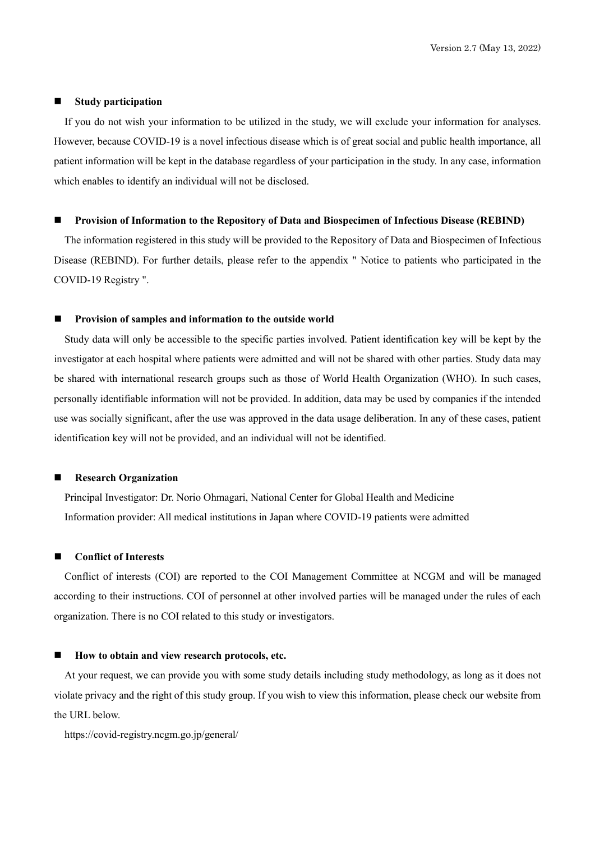#### **Study participation**

If you do not wish your information to be utilized in the study, we will exclude your information for analyses. However, because COVID-19 is a novel infectious disease which is of great social and public health importance, all patient information will be kept in the database regardless of your participation in the study. In any case, information which enables to identify an individual will not be disclosed.

#### **Provision of Information to the Repository of Data and Biospecimen of Infectious Disease (REBIND)**

The information registered in this study will be provided to the Repository of Data and Biospecimen of Infectious Disease (REBIND). For further details, please refer to the appendix " Notice to patients who participated in the COVID-19 Registry ".

#### **Provision of samples and information to the outside world**

Study data will only be accessible to the specific parties involved. Patient identification key will be kept by the investigator at each hospital where patients were admitted and will not be shared with other parties. Study data may be shared with international research groups such as those of World Health Organization (WHO). In such cases, personally identifiable information will not be provided. In addition, data may be used by companies if the intended use was socially significant, after the use was approved in the data usage deliberation. In any of these cases, patient identification key will not be provided, and an individual will not be identified.

#### **Research Organization**

Principal Investigator: Dr. Norio Ohmagari, National Center for Global Health and Medicine Information provider: All medical institutions in Japan where COVID-19 patients were admitted

#### **Conflict of Interests**

Conflict of interests (COI) are reported to the COI Management Committee at NCGM and will be managed according to their instructions. COI of personnel at other involved parties will be managed under the rules of each organization. There is no COI related to this study or investigators.

#### **How to obtain and view research protocols, etc.**

At your request, we can provide you with some study details including study methodology, as long as it does not violate privacy and the right of this study group. If you wish to view this information, please check our website from the URL below.

https://covid-registry.ncgm.go.jp/general/